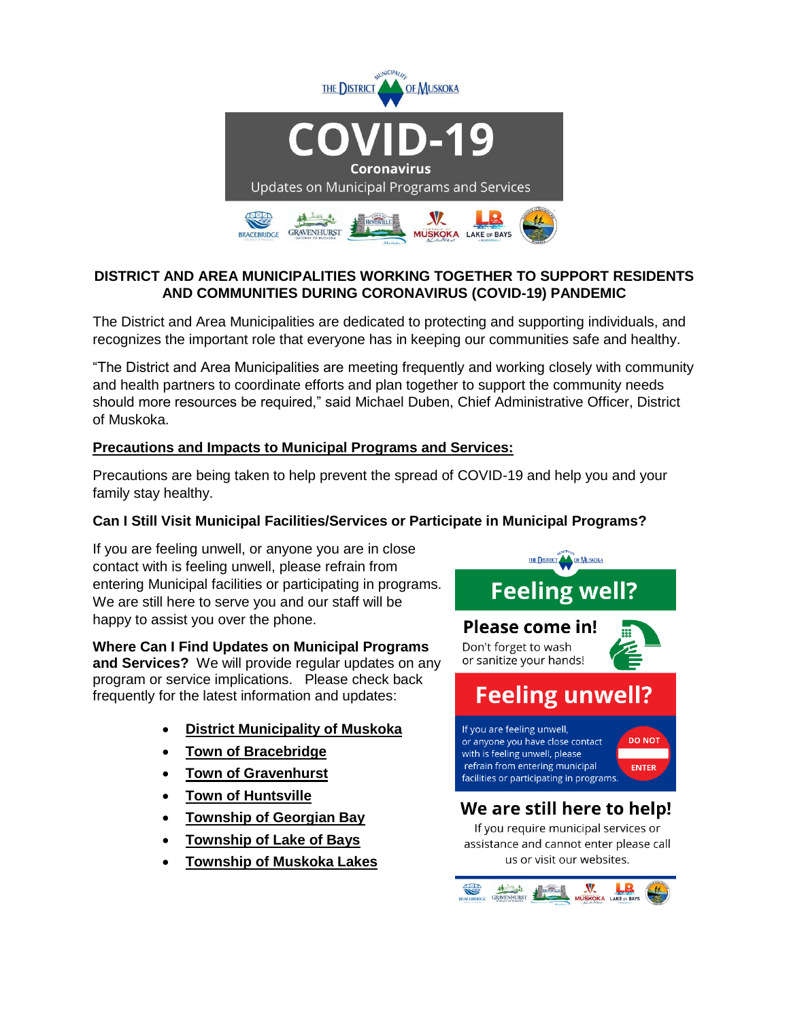

# **DISTRICT AND AREA MUNICIPALITIES WORKING TOGETHER TO SUPPORT RESIDENTS AND COMMUNITIES DURING CORONAVIRUS (COVID-19) PANDEMIC**

The District and Area Municipalities are dedicated to protecting and supporting individuals, and recognizes the important role that everyone has in keeping our communities safe and healthy.

"The District and Area Municipalities are meeting frequently and working closely with community and health partners to coordinate efforts and plan together to support the community needs should more resources be required," said Michael Duben, Chief Administrative Officer, District of Muskoka.

## **Precautions and Impacts to Municipal Programs and Services:**

Precautions are being taken to help prevent the spread of COVID-19 and help you and your family stay healthy.

# **Can I Still Visit Municipal Facilities/Services or Participate in Municipal Programs?**

If you are feeling unwell, or anyone you are in close contact with is feeling unwell, please refrain from entering Municipal facilities or participating in programs. We are still here to serve you and our staff will be happy to assist you over the phone.

#### **Where Can I Find Updates on Municipal Programs and Services?** We will provide regular updates on any program or service implications. Please check back frequently for the latest information and updates:

- **[District Municipality of Muskoka](http://www.muskoka.on.ca/coronavirus)**
- **[Town of Bracebridge](https://www.bracebridge.ca/en/index.aspx)**
- **[Town of Gravenhurst](https://www.gravenhurst.ca/en/index.aspx)**
- **[Town of Huntsville](https://www.huntsville.ca/en/index.aspx)**
- **[Township of Georgian Bay](https://www.gbtownship.ca/en/index.aspx)**
- **[Township of Lake of Bays](https://www.lakeofbays.on.ca/en/index.aspx)**
- **[Township of Muskoka Lakes](https://www.muskokalakes.ca/en/index.aspx)**



us or visit our websites.